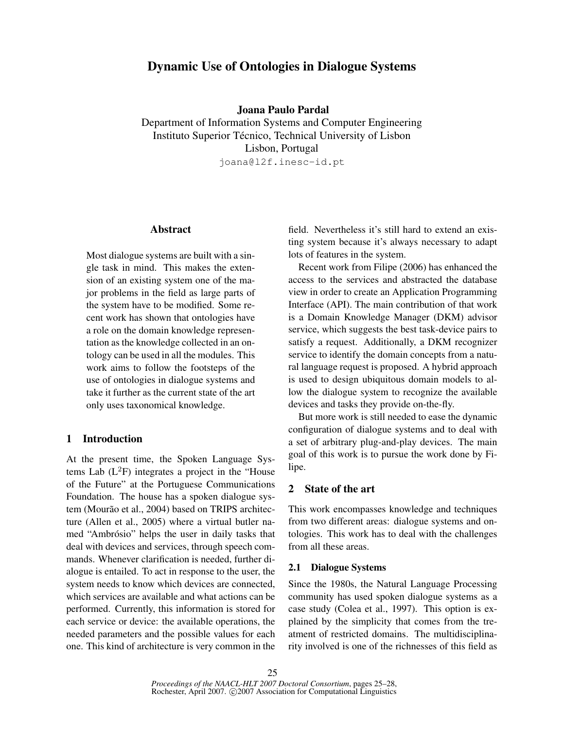# Dynamic Use of Ontologies in Dialogue Systems

Joana Paulo Pardal

Department of Information Systems and Computer Engineering Instituto Superior Técnico, Technical University of Lisbon Lisbon, Portugal joana@l2f.inesc-id.pt

#### Abstract

Most dialogue systems are built with a single task in mind. This makes the extension of an existing system one of the major problems in the field as large parts of the system have to be modified. Some recent work has shown that ontologies have a role on the domain knowledge representation as the knowledge collected in an ontology can be used in all the modules. This work aims to follow the footsteps of the use of ontologies in dialogue systems and take it further as the current state of the art only uses taxonomical knowledge.

### 1 Introduction

At the present time, the Spoken Language Systems Lab  $(L^2F)$  integrates a project in the "House" of the Future" at the Portuguese Communications Foundation. The house has a spoken dialogue system (Mourão et al., 2004) based on TRIPS architecture (Allen et al., 2005) where a virtual butler named "Ambrósio" helps the user in daily tasks that deal with devices and services, through speech commands. Whenever clarification is needed, further dialogue is entailed. To act in response to the user, the system needs to know which devices are connected, which services are available and what actions can be performed. Currently, this information is stored for each service or device: the available operations, the needed parameters and the possible values for each one. This kind of architecture is very common in the

field. Nevertheless it's still hard to extend an existing system because it's always necessary to adapt lots of features in the system.

Recent work from Filipe (2006) has enhanced the access to the services and abstracted the database view in order to create an Application Programming Interface (API). The main contribution of that work is a Domain Knowledge Manager (DKM) advisor service, which suggests the best task-device pairs to satisfy a request. Additionally, a DKM recognizer service to identify the domain concepts from a natural language request is proposed. A hybrid approach is used to design ubiquitous domain models to allow the dialogue system to recognize the available devices and tasks they provide on-the-fly.

But more work is still needed to ease the dynamic configuration of dialogue systems and to deal with a set of arbitrary plug-and-play devices. The main goal of this work is to pursue the work done by Filipe.

#### 2 State of the art

This work encompasses knowledge and techniques from two different areas: dialogue systems and ontologies. This work has to deal with the challenges from all these areas.

#### 2.1 Dialogue Systems

Since the 1980s, the Natural Language Processing community has used spoken dialogue systems as a case study (Colea et al., 1997). This option is explained by the simplicity that comes from the treatment of restricted domains. The multidisciplinarity involved is one of the richnesses of this field as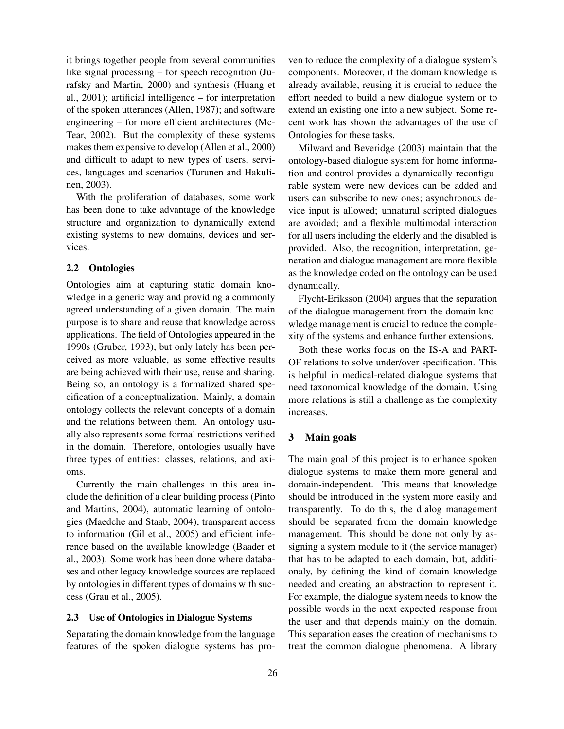it brings together people from several communities like signal processing – for speech recognition (Jurafsky and Martin, 2000) and synthesis (Huang et al., 2001); artificial intelligence – for interpretation of the spoken utterances (Allen, 1987); and software engineering – for more efficient architectures (Mc-Tear, 2002). But the complexity of these systems makes them expensive to develop (Allen et al., 2000) and difficult to adapt to new types of users, services, languages and scenarios (Turunen and Hakulinen, 2003).

With the proliferation of databases, some work has been done to take advantage of the knowledge structure and organization to dynamically extend existing systems to new domains, devices and services.

#### 2.2 Ontologies

Ontologies aim at capturing static domain knowledge in a generic way and providing a commonly agreed understanding of a given domain. The main purpose is to share and reuse that knowledge across applications. The field of Ontologies appeared in the 1990s (Gruber, 1993), but only lately has been perceived as more valuable, as some effective results are being achieved with their use, reuse and sharing. Being so, an ontology is a formalized shared specification of a conceptualization. Mainly, a domain ontology collects the relevant concepts of a domain and the relations between them. An ontology usually also represents some formal restrictions verified in the domain. Therefore, ontologies usually have three types of entities: classes, relations, and axioms.

Currently the main challenges in this area include the definition of a clear building process (Pinto and Martins, 2004), automatic learning of ontologies (Maedche and Staab, 2004), transparent access to information (Gil et al., 2005) and efficient inference based on the available knowledge (Baader et al., 2003). Some work has been done where databases and other legacy knowledge sources are replaced by ontologies in different types of domains with success (Grau et al., 2005).

#### 2.3 Use of Ontologies in Dialogue Systems

Separating the domain knowledge from the language features of the spoken dialogue systems has proven to reduce the complexity of a dialogue system's components. Moreover, if the domain knowledge is already available, reusing it is crucial to reduce the effort needed to build a new dialogue system or to extend an existing one into a new subject. Some recent work has shown the advantages of the use of Ontologies for these tasks.

Milward and Beveridge (2003) maintain that the ontology-based dialogue system for home information and control provides a dynamically reconfigurable system were new devices can be added and users can subscribe to new ones; asynchronous device input is allowed; unnatural scripted dialogues are avoided; and a flexible multimodal interaction for all users including the elderly and the disabled is provided. Also, the recognition, interpretation, generation and dialogue management are more flexible as the knowledge coded on the ontology can be used dynamically.

Flycht-Eriksson (2004) argues that the separation of the dialogue management from the domain knowledge management is crucial to reduce the complexity of the systems and enhance further extensions.

Both these works focus on the IS-A and PART-OF relations to solve under/over specification. This is helpful in medical-related dialogue systems that need taxonomical knowledge of the domain. Using more relations is still a challenge as the complexity increases.

#### 3 Main goals

The main goal of this project is to enhance spoken dialogue systems to make them more general and domain-independent. This means that knowledge should be introduced in the system more easily and transparently. To do this, the dialog management should be separated from the domain knowledge management. This should be done not only by assigning a system module to it (the service manager) that has to be adapted to each domain, but, additionaly, by defining the kind of domain knowledge needed and creating an abstraction to represent it. For example, the dialogue system needs to know the possible words in the next expected response from the user and that depends mainly on the domain. This separation eases the creation of mechanisms to treat the common dialogue phenomena. A library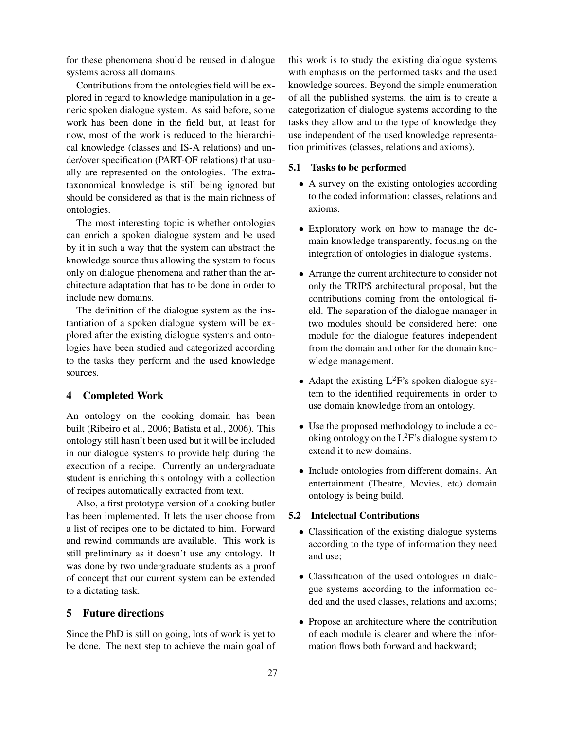for these phenomena should be reused in dialogue systems across all domains.

Contributions from the ontologies field will be explored in regard to knowledge manipulation in a generic spoken dialogue system. As said before, some work has been done in the field but, at least for now, most of the work is reduced to the hierarchical knowledge (classes and IS-A relations) and under/over specification (PART-OF relations) that usually are represented on the ontologies. The extrataxonomical knowledge is still being ignored but should be considered as that is the main richness of ontologies.

The most interesting topic is whether ontologies can enrich a spoken dialogue system and be used by it in such a way that the system can abstract the knowledge source thus allowing the system to focus only on dialogue phenomena and rather than the architecture adaptation that has to be done in order to include new domains.

The definition of the dialogue system as the instantiation of a spoken dialogue system will be explored after the existing dialogue systems and ontologies have been studied and categorized according to the tasks they perform and the used knowledge sources.

## 4 Completed Work

An ontology on the cooking domain has been built (Ribeiro et al., 2006; Batista et al., 2006). This ontology still hasn't been used but it will be included in our dialogue systems to provide help during the execution of a recipe. Currently an undergraduate student is enriching this ontology with a collection of recipes automatically extracted from text.

Also, a first prototype version of a cooking butler has been implemented. It lets the user choose from a list of recipes one to be dictated to him. Forward and rewind commands are available. This work is still preliminary as it doesn't use any ontology. It was done by two undergraduate students as a proof of concept that our current system can be extended to a dictating task.

### 5 Future directions

Since the PhD is still on going, lots of work is yet to be done. The next step to achieve the main goal of this work is to study the existing dialogue systems with emphasis on the performed tasks and the used knowledge sources. Beyond the simple enumeration of all the published systems, the aim is to create a categorization of dialogue systems according to the tasks they allow and to the type of knowledge they use independent of the used knowledge representation primitives (classes, relations and axioms).

#### 5.1 Tasks to be performed

- A survey on the existing ontologies according to the coded information: classes, relations and axioms.
- Exploratory work on how to manage the domain knowledge transparently, focusing on the integration of ontologies in dialogue systems.
- Arrange the current architecture to consider not only the TRIPS architectural proposal, but the contributions coming from the ontological field. The separation of the dialogue manager in two modules should be considered here: one module for the dialogue features independent from the domain and other for the domain knowledge management.
- Adapt the existing  $L^2F$ 's spoken dialogue system to the identified requirements in order to use domain knowledge from an ontology.
- Use the proposed methodology to include a cooking ontology on the  $L^2F$ 's dialogue system to extend it to new domains.
- Include ontologies from different domains. An entertainment (Theatre, Movies, etc) domain ontology is being build.

#### 5.2 Intelectual Contributions

- Classification of the existing dialogue systems according to the type of information they need and use;
- Classification of the used ontologies in dialogue systems according to the information coded and the used classes, relations and axioms;
- Propose an architecture where the contribution of each module is clearer and where the information flows both forward and backward;